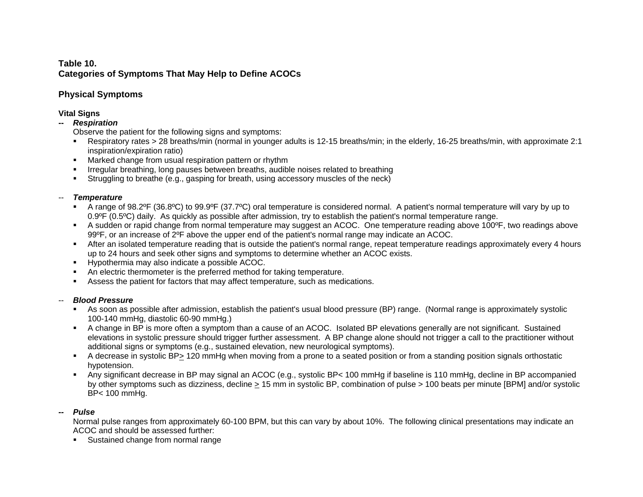# **Table 10. Categories of Symptoms That May Help to Define ACOCs**

# **Physical Symptoms**

# **Vital Signs**

# **--** *Respiration*

Observe the patient for the following signs and symptoms:

- Respiratory rates > 28 breaths/min (normal in younger adults is 12-15 breaths/min; in the elderly, 16-25 breaths/min, with approximate 2:1 inspiration/expiration ratio)
- **Marked change from usual respiration pattern or rhythm**
- Irregular breathing, long pauses between breaths, audible noises related to breathing
- Struggling to breathe (e.g., gasping for breath, using accessory muscles of the neck)

# -- *Temperature*

- A range of 98.2ºF (36.8ºC) to 99.9ºF (37.7ºC) oral temperature is considered normal. A patient's normal temperature will vary by up to 0.9°F (0.5°C) daily. As quickly as possible after admission, try to establish the patient's normal temperature range.
- A sudden or rapid change from normal temperature may suggest an ACOC. One temperature reading above 100ºF, two readings above 99ºF, or an increase of 2ºF above the upper end of the patient's normal range may indicate an ACOC.
- After an isolated temperature reading that is outside the patient's normal range, repeat temperature readings approximately every 4 hours up to 24 hours and seek other signs and symptoms to determine whether an ACOC exists.
- Hypothermia may also indicate a possible ACOC.
- An electric thermometer is the preferred method for taking temperature.
- Assess the patient for factors that may affect temperature, such as medications.

# -- *Blood Pressure*

- As soon as possible after admission, establish the patient's usual blood pressure (BP) range. (Normal range is approximately systolic 100-140 mmHg, diastolic 60-90 mmHg.)
- A change in BP is more often a symptom than a cause of an ACOC. Isolated BP elevations generally are not significant. Sustained elevations in systolic pressure should trigger further assessment. A BP change alone should not trigger a call to the practitioner without additional signs or symptoms (e.g., sustained elevation, new neurological symptoms).
- A decrease in systolic BP> 120 mmHg when moving from a prone to a seated position or from a standing position signals orthostatic hypotension.
- Any significant decrease in BP may signal an ACOC (e.g., systolic BP< 100 mmHg if baseline is 110 mmHg, decline in BP accompanied by other symptoms such as dizziness, decline > 15 mm in systolic BP, combination of pulse > 100 beats per minute [BPM] and/or systolic BP< 100 mmHg.

# *-- Pulse*

Normal pulse ranges from approximately 60-100 BPM, but this can vary by about 10%. The following clinical presentations may indicate an ACOC and should be assessed further:

**Sustained change from normal range**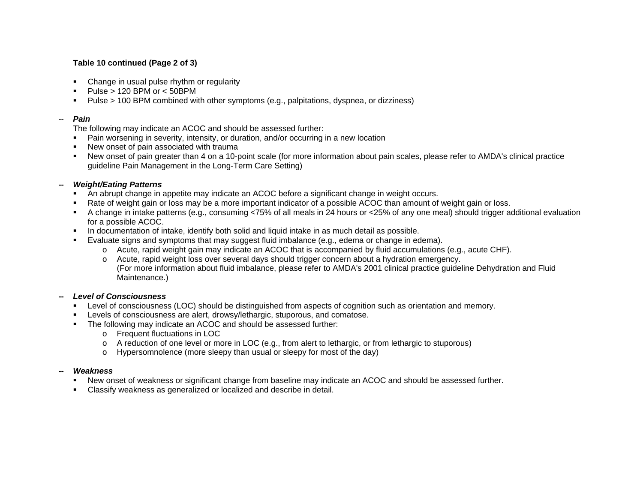## **Table 10 continued (Page 2 of 3)**

- Change in usual pulse rhythm or regularity
- $Pulse > 120$  BPM or  $< 50$ BPM
- Pulse > 100 BPM combined with other symptoms (e.g., palpitations, dyspnea, or dizziness)

#### -- *Pain*

The following may indicate an ACOC and should be assessed further:

- Pain worsening in severity, intensity, or duration, and/or occurring in a new location
- New onset of pain associated with trauma
- New onset of pain greater than 4 on a 10-point scale (for more information about pain scales, please refer to AMDA's clinical practice guideline Pain Management in the Long-Term Care Setting)

#### **--** *Weight/Eating Patterns*

- An abrupt change in appetite may indicate an ACOC before a significant change in weight occurs.
- Rate of weight gain or loss may be a more important indicator of a possible ACOC than amount of weight gain or loss.
- A change in intake patterns (e.g., consuming <75% of all meals in 24 hours or <25% of any one meal) should trigger additional evaluation for a possible ACOC.
- **In documentation of intake, identify both solid and liquid intake in as much detail as possible.**
- Evaluate signs and symptoms that may suggest fluid imbalance (e.g., edema or change in edema).
	- $\circ$  Acute, rapid weight gain may indicate an ACOC that is accompanied by fluid accumulations (e.g., acute CHF).
	- o Acute, rapid weight loss over several days should trigger concern about a hydration emergency. (For more information about fluid imbalance, please refer to AMDA's 2001 clinical practice guideline Dehydration and Fluid Maintenance.)

### **--** *Level of Consciousness*

- **EXECTE Level of consciousness (LOC) should be distinguished from aspects of cognition such as orientation and memory.**
- **Levels of consciousness are alert, drowsy/lethargic, stuporous, and comatose.**
- The following may indicate an ACOC and should be assessed further:
	- o Frequent fluctuations in LOC
	- $\circ$  A reduction of one level or more in LOC (e.g., from alert to lethargic, or from lethargic to stuporous)
	- <sup>o</sup>Hypersomnolence (more sleepy than usual or sleepy for most of the day)

#### $We a kness$

- New onset of weakness or significant change from baseline may indicate an ACOC and should be assessed further.
- Classify weakness as generalized or localized and describe in detail.